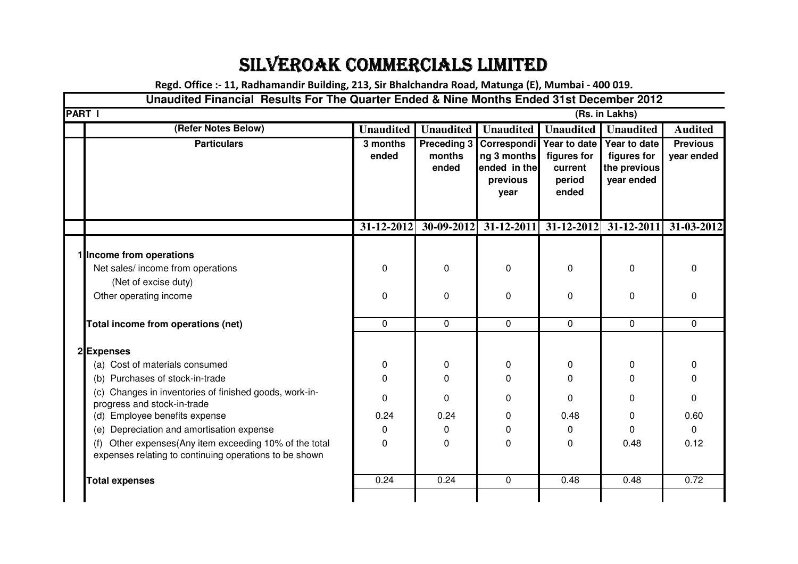## SILVEROAK COMMERCIALS LIMITED

**Regd. Office :- 11, Radhamandir Building, 213, Sir Bhalchandra Road, Matunga (E), Mumbai - 400 019.**

## **Unaudited Financial Results For The Quarter Ended & Nine Months Ended 31st December 2012**

| <b>PART I</b><br>(Rs. in Lakhs)                                                                                     |                   |                                       |                                                                |                                                           |                                                           |                               |
|---------------------------------------------------------------------------------------------------------------------|-------------------|---------------------------------------|----------------------------------------------------------------|-----------------------------------------------------------|-----------------------------------------------------------|-------------------------------|
| <b>Unaudited</b><br><b>Unaudited</b><br><b>Unaudited</b><br>(Refer Notes Below)<br><b>Unaudited</b>                 |                   |                                       |                                                                |                                                           | <b>Unaudited</b>                                          | <b>Audited</b>                |
| <b>Particulars</b>                                                                                                  | 3 months<br>ended | <b>Preceding 3</b><br>months<br>ended | Correspondi<br>ng 3 months<br>ended in the<br>previous<br>year | Year to date<br>figures for<br>current<br>period<br>ended | Year to date<br>figures for<br>the previous<br>year ended | <b>Previous</b><br>year ended |
|                                                                                                                     | 31-12-2012        | 30-09-2012                            | 31-12-2011                                                     | $31 - 12 - 2012$                                          | $31 - 12 - 2011$                                          | 31-03-2012                    |
| 1 Income from operations                                                                                            |                   |                                       |                                                                |                                                           |                                                           |                               |
| Net sales/ income from operations                                                                                   | 0                 | $\Omega$                              | 0                                                              | 0                                                         | 0                                                         | 0                             |
| (Net of excise duty)                                                                                                |                   |                                       |                                                                |                                                           |                                                           |                               |
| Other operating income                                                                                              | 0                 | 0                                     | 0                                                              | 0                                                         | 0                                                         | 0                             |
| Total income from operations (net)                                                                                  | $\mathbf 0$       | $\mathbf 0$                           | $\mathbf 0$                                                    | $\mathbf 0$                                               | $\mathbf 0$                                               | $\mathbf 0$                   |
| 2Expenses                                                                                                           |                   |                                       |                                                                |                                                           |                                                           |                               |
| (a) Cost of materials consumed                                                                                      | 0                 | 0                                     | 0                                                              | 0                                                         | 0                                                         | 0                             |
| Purchases of stock-in-trade<br>(b)                                                                                  | $\Omega$          | $\Omega$                              | 0                                                              | $\Omega$                                                  | 0                                                         | 0                             |
| Changes in inventories of finished goods, work-in-<br>(c)<br>progress and stock-in-trade                            | $\Omega$          | $\Omega$                              | 0                                                              | $\Omega$                                                  | 0                                                         | 0                             |
| (d) Employee benefits expense                                                                                       | 0.24              | 0.24                                  | 0                                                              | 0.48                                                      | 0                                                         | 0.60                          |
| Depreciation and amortisation expense<br>(e)                                                                        | 0                 | 0                                     | 0                                                              | 0                                                         | 0                                                         | $\mathbf 0$                   |
| Other expenses(Any item exceeding 10% of the total<br>(f)<br>expenses relating to continuing operations to be shown | 0                 | $\Omega$                              | 0                                                              | 0                                                         | 0.48                                                      | 0.12                          |
| <b>Total expenses</b>                                                                                               | 0.24              | 0.24                                  | $\Omega$                                                       | 0.48                                                      | 0.48                                                      | 0.72                          |
|                                                                                                                     |                   |                                       |                                                                |                                                           |                                                           |                               |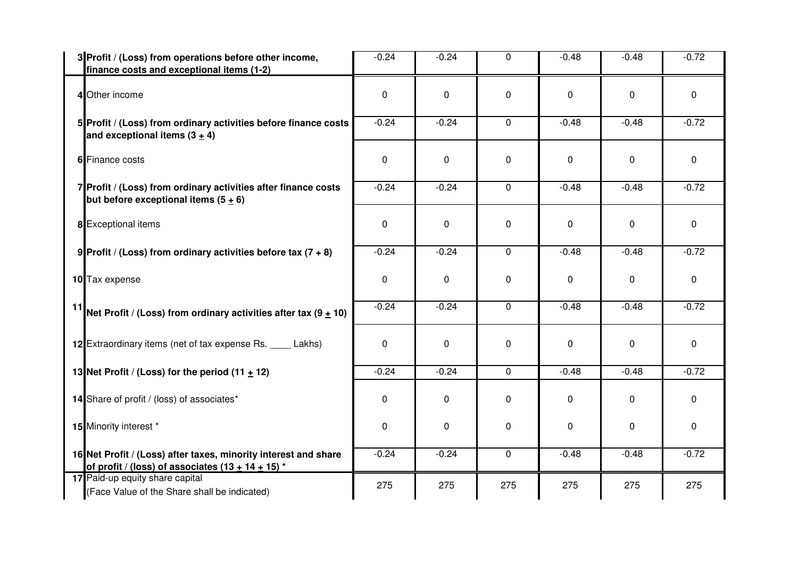| 3 Profit / (Loss) from operations before other income,<br>finance costs and exceptional items (1-2)                    | $-0.24$ | $-0.24$     | $\mathbf 0$ | $-0.48$     | $-0.48$ | $-0.72$     |
|------------------------------------------------------------------------------------------------------------------------|---------|-------------|-------------|-------------|---------|-------------|
| 4 Other income                                                                                                         | 0       | $\mathbf 0$ | 0           | 0           | 0       | 0           |
| 5 Profit / (Loss) from ordinary activities before finance costs<br>and exceptional items $(3 + 4)$                     | $-0.24$ | $-0.24$     | 0           | $-0.48$     | $-0.48$ | $-0.72$     |
| 6 Finance costs                                                                                                        | 0       | $\mathbf 0$ | $\mathbf 0$ | $\mathbf 0$ | 0       | 0           |
| 7 Profit / (Loss) from ordinary activities after finance costs<br>but before exceptional items $(5 + 6)$               | $-0.24$ | $-0.24$     | $\mathbf 0$ | $-0.48$     | $-0.48$ | $-0.72$     |
| 8 Exceptional items                                                                                                    | 0       | $\mathbf 0$ | 0           | $\mathbf 0$ | 0       | $\mathbf 0$ |
| 9 Profit / (Loss) from ordinary activities before tax $(7 + 8)$                                                        | $-0.24$ | $-0.24$     | 0           | $-0.48$     | $-0.48$ | $-0.72$     |
| 10 Tax expense                                                                                                         | 0       | 0           | 0           | 0           | 0       | 0           |
| <sup>11</sup> Net Profit / (Loss) from ordinary activities after tax (9 $\pm$ 10)                                      | $-0.24$ | $-0.24$     | $\mathbf 0$ | $-0.48$     | $-0.48$ | $-0.72$     |
| 12 Extraordinary items (net of tax expense Rs. _____ Lakhs)                                                            | 0       | $\mathbf 0$ | 0           | $\mathbf 0$ | 0       | $\mathbf 0$ |
| 13 Net Profit / (Loss) for the period $(11 + 12)$                                                                      | $-0.24$ | $-0.24$     | $\mathbf 0$ | $-0.48$     | $-0.48$ | $-0.72$     |
| 14 Share of profit / (loss) of associates*                                                                             | 0       | 0           | 0           | 0           | 0       | 0           |
| 15 Minority interest *                                                                                                 | 0       | $\mathbf 0$ | 0           | 0           | 0       | 0           |
| 16 Net Profit / (Loss) after taxes, minority interest and share<br>of profit / (loss) of associates $(13 + 14 + 15)^*$ | $-0.24$ | $-0.24$     | $\pmb{0}$   | $-0.48$     | $-0.48$ | $-0.72$     |
| 17 Paid-up equity share capital<br>(Face Value of the Share shall be indicated)                                        | 275     | 275         | 275         | 275         | 275     | 275         |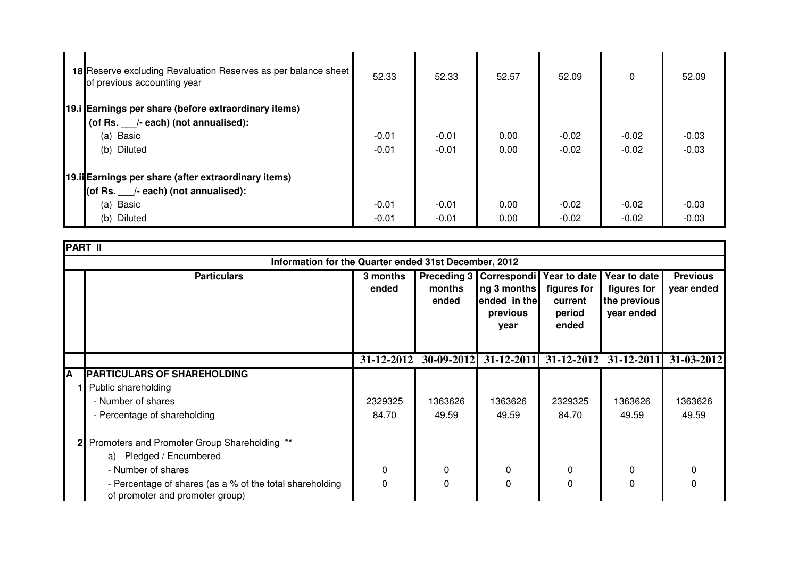| 18 Reserve excluding Revaluation Reserves as per balance sheet<br>of previous accounting year | 52.33   | 52.33   | 52.57 | 52.09   | $\Omega$ | 52.09   |  |
|-----------------------------------------------------------------------------------------------|---------|---------|-------|---------|----------|---------|--|
| 19.i Earnings per share (before extraordinary items)                                          |         |         |       |         |          |         |  |
| (of Rs. /- each) (not annualised):                                                            |         |         |       |         |          |         |  |
| (a) Basic                                                                                     | $-0.01$ | $-0.01$ | 0.00  | $-0.02$ | $-0.02$  | $-0.03$ |  |
| (b) Diluted                                                                                   | $-0.01$ | $-0.01$ | 0.00  | $-0.02$ | $-0.02$  | $-0.03$ |  |
| 19.ii Earnings per share (after extraordinary items)                                          |         |         |       |         |          |         |  |
| (of Rs. /- each) (not annualised):                                                            |         |         |       |         |          |         |  |
| (a) Basic                                                                                     | $-0.01$ | $-0.01$ | 0.00  | $-0.02$ | $-0.02$  | $-0.03$ |  |
| (b) Diluted                                                                                   | $-0.01$ | $-0.01$ | 0.00  | $-0.02$ | $-0.02$  | $-0.03$ |  |

|   | <b>PART II</b>                                                                              |                   |                 |                                                                              |                                                           |                                                           |                               |  |
|---|---------------------------------------------------------------------------------------------|-------------------|-----------------|------------------------------------------------------------------------------|-----------------------------------------------------------|-----------------------------------------------------------|-------------------------------|--|
|   | Information for the Quarter ended 31st December, 2012                                       |                   |                 |                                                                              |                                                           |                                                           |                               |  |
|   | <b>Particulars</b>                                                                          | 3 months<br>ended | months<br>ended | Preceding 3   Correspondi<br>ng 3 months<br>ended in the<br>previous<br>year | Year to date<br>figures for<br>current<br>period<br>ended | Year to date<br>figures for<br>the previous<br>year ended | <b>Previous</b><br>year ended |  |
|   |                                                                                             | $31 - 12 - 2012$  | $30-09-2012$    |                                                                              | $31-12-2011$ $31-12-2012$                                 | 31-12-2011                                                | 31-03-2012                    |  |
| Α | <b>PARTICULARS OF SHAREHOLDING</b>                                                          |                   |                 |                                                                              |                                                           |                                                           |                               |  |
|   | Public shareholding                                                                         |                   |                 |                                                                              |                                                           |                                                           |                               |  |
|   | - Number of shares                                                                          | 2329325           | 1363626         | 1363626                                                                      | 2329325                                                   | 1363626                                                   | 1363626                       |  |
|   | - Percentage of shareholding                                                                | 84.70             | 49.59           | 49.59                                                                        | 84.70                                                     | 49.59                                                     | 49.59                         |  |
|   | Promoters and Promoter Group Shareholding **                                                |                   |                 |                                                                              |                                                           |                                                           |                               |  |
|   | a) Pledged / Encumbered                                                                     |                   |                 |                                                                              |                                                           |                                                           |                               |  |
|   | - Number of shares                                                                          | 0                 | 0               | 0                                                                            | 0                                                         | 0                                                         | 0                             |  |
|   | - Percentage of shares (as a % of the total shareholding<br>of promoter and promoter group) | 0                 | $\Omega$        | 0                                                                            | 0                                                         | 0                                                         |                               |  |